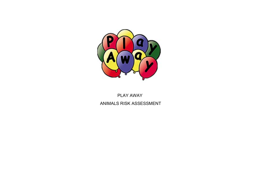

## PLAY AWAY ANIMALS RISK ASSESSMENT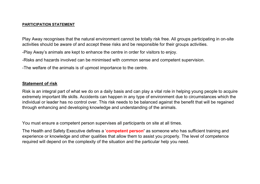## PARTICIPATION STATEMENT

Play Away recognises that the natural environment cannot be totally risk free. All groups participating in on-site activities should be aware of and accept these risks and be responsible for their groups activities.

-Play Away's animals are kept to enhance the centre in order for visitors to enjoy.

-Risks and hazards involved can be minimised with common sense and competent supervision.

-The welfare of the animals is of upmost importance to the centre.

## Statement of risk

Risk is an integral part of what we do on a daily basis and can play a vital role in helping young people to acquire extremely important life skills. Accidents can happen in any type of environment due to circumstances which the individual or leader has no control over. This risk needs to be balanced against the benefit that will be regained through enhancing and developing knowledge and understanding of the animals.

You must ensure a competent person supervises all participants on site at all times.

The Health and Safety Executive defines a 'competent person' as someone who has sufficient training and experience or knowledge and other qualities that allow them to assist you properly. The level of competence required will depend on the complexity of the situation and the particular help you need.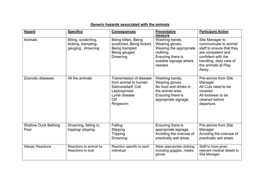| <b>Hazard</b>                       | <b>Specifics</b>                                                | <b>Consequences</b>                                                                                                       | <b>Preventative</b><br>measure                                                                                                      | <b>Participant Action</b>                                                                                                                                                   |
|-------------------------------------|-----------------------------------------------------------------|---------------------------------------------------------------------------------------------------------------------------|-------------------------------------------------------------------------------------------------------------------------------------|-----------------------------------------------------------------------------------------------------------------------------------------------------------------------------|
| Animals                             | Biting, scratching,<br>kicking, trampling,<br>gauging, drowning | Being bitten, Being<br>scratched, Being kicked,<br>Being trampled<br>Being gauged<br>Drowning                             | Washing hands,<br>Wearing gloves,<br>Wearing the appropriate<br>clothing,<br>Ensuring there is<br>suitable signage where<br>needed. | Site Manager to<br>communicate to animal<br>staff to ensure that they<br>are competent and<br>confident with the<br>handling, daily care of<br>the animals at Play<br>Away. |
| Zoonotic diseases                   | All the animals                                                 | Transmission of disease<br>from animal to human.<br>Salmonella/E Coli<br>Leptospirosis<br>Lyme disease<br>Orf<br>Ringworm | Washing hands,<br><b>Wearing gloves</b><br>No food and drinks in<br>the animal area.<br>Ensuring there is<br>appropriate signage.   | Pre-advice from Site<br>Manager<br>All Cuts need to be<br>covered<br>All footwear to be<br>cleaned before<br>departure.                                                     |
| <b>Shallow Duck Bathing</b><br>Pool | Drowning, falling in,<br>tripping/slipping.                     | Falling<br>Slipping<br><b>Tripping</b><br>Drowning                                                                        | Ensuring there is<br>appropriate signage.<br>Avoiding the overuse of<br>practically wet areas.                                      | Pre-advice from Site<br>Manager<br>Avoiding the overuse of<br>practically wet areas.                                                                                        |
| <b>Allergic Reactions</b>           | Reactions to animal fur<br>Reactions to dust                    | Reaction specific to each<br>individual                                                                                   | Wear appropriate clothing<br>including goggles, masks,<br>gloves                                                                    | Staff to have given<br>relevant medical details to<br>Site Manager.                                                                                                         |

## Generic hazards associated with the animals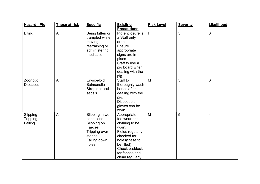| <b>Hazard - Pig</b>             | Those at risk | <b>Specific</b>                                                                                            | <b>Existing</b><br><b>Precautions</b>                                                                                                                                            | <b>Risk Level</b> | <b>Severity</b> | Likelihood   |
|---------------------------------|---------------|------------------------------------------------------------------------------------------------------------|----------------------------------------------------------------------------------------------------------------------------------------------------------------------------------|-------------------|-----------------|--------------|
| <b>Biting</b>                   | All           | Being bitten or<br>trampled while<br>moving,<br>restraining or<br>administering<br>medication              | Pig enclosure is<br>a Staff only<br>area.<br>Ensure<br>appropriate<br>signs are in<br>place.<br>Staff to use a<br>pig board when<br>dealing with the<br>pig.                     | H                 | 5               | 3            |
| Zoonotic<br><b>Diseases</b>     | All           | Erysipeloid<br>Salmonella<br>Streptococcal<br>sepsis                                                       | Staff to<br>thoroughly wash<br>hands after<br>dealing with the<br>pig.<br>Disposable<br>gloves can be<br>worn.                                                                   | M                 | 5               | $\mathbf{3}$ |
| Slipping<br>Tripping<br>Falling | All           | Slipping in wet<br>conditions<br>Slipping on<br>Faeces<br>Tripping over<br>stones<br>Falling down<br>holes | Appropriate<br>footwear and<br>clothing to be<br>worn.<br>Fields regularly<br>checked for<br>holes(these to<br>be filled)<br>Check paddock<br>for faeces and<br>clean regularly. | M                 | 5               | 4            |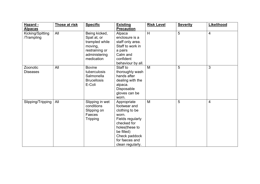| Hazard -<br><b>Alpacas</b>     | Those at risk | <b>Specific</b>                                                                                            | <b>Existing</b><br><b>Precaution</b>                                                                                                                                             | <b>Risk Level</b> | <b>Severity</b> | Likelihood               |
|--------------------------------|---------------|------------------------------------------------------------------------------------------------------------|----------------------------------------------------------------------------------------------------------------------------------------------------------------------------------|-------------------|-----------------|--------------------------|
| Kicking/Spitting<br>/Trampling | All           | Being kicked,<br>Spat at, or<br>trampled while<br>moving,<br>restraining or<br>administering<br>medication | Alpaca<br>enclosure is a<br>staff only area.<br>Staff to work in<br>a pairs<br>Calm and<br>confident<br>behaviour by all.                                                        | H                 | 5               | 4                        |
| Zoonotic<br><b>Diseases</b>    | All           | <b>Bovine</b><br>tuberculosis<br>Salmonella<br><b>Brucellosis</b><br>E-Coli                                | Staff to<br>thoroughly wash<br>hands after<br>dealing with the<br>alpaca.<br>Disposable<br>gloves can be<br>worn.                                                                | M                 | 5               | 3                        |
| Slipping/Tripping              | All           | Slipping in wet<br>conditions<br>Slipping on<br>Faeces<br><b>Tripping</b>                                  | Appropriate<br>footwear and<br>clothing to be<br>worn.<br>Fields regularly<br>checked for<br>holes(these to<br>be filled)<br>Check paddock<br>for faeces and<br>clean regularly. | M                 | 5               | $\overline{\mathcal{A}}$ |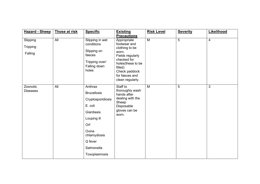| <b>Hazard - Sheep</b>                  | Those at risk | <b>Specific</b>                                                                                                                                                      | <b>Existing</b><br><b>Precautions</b>                                                                                                                                            | <b>Risk Level</b> | <b>Severity</b> | Likelihood |
|----------------------------------------|---------------|----------------------------------------------------------------------------------------------------------------------------------------------------------------------|----------------------------------------------------------------------------------------------------------------------------------------------------------------------------------|-------------------|-----------------|------------|
| Slipping<br><b>Tripping</b><br>Falling | All           | Slipping in wet<br>conditions<br>Slipping on<br>faeces<br>Tripping over/<br>Falling down<br>holes                                                                    | Appropriate<br>footwear and<br>clothing to be<br>worn.<br>Fields regularly<br>checked for<br>holes(these to be<br>filled)<br>Check paddock<br>for faeces and<br>clean regularly. | M                 | 5               | 4          |
| Zoonotic<br><b>Diseases</b>            | All           | Anthrax<br><b>Brucellosis</b><br>Cryptosporidiosis<br>E. coli<br>Giardiasis<br>Louping ill<br>Orf<br>Ovine<br>chlamydiosis<br>Q fever<br>Salmonella<br>Toxoplasmosis | Staff to<br>thoroughly wash<br>hands after<br>dealing with the<br>Sheep<br>Disposable<br>gloves can be<br>worn.                                                                  | M                 | 5               | 3          |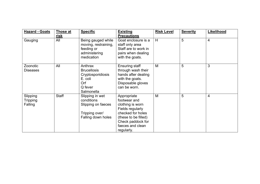| <b>Hazard - Goats</b>           | Those at<br>risk | <b>Specific</b>                                                                               | <b>Existing</b><br><b>Precautions</b>                                                                                                                                   | <b>Risk Level</b> | <b>Severity</b> | Likelihood |
|---------------------------------|------------------|-----------------------------------------------------------------------------------------------|-------------------------------------------------------------------------------------------------------------------------------------------------------------------------|-------------------|-----------------|------------|
| Gauging                         | All              | Being gauged while<br>moving, restraining,<br>feeding or<br>administering<br>medication       | Goat enclosure is a<br>staff only area<br>Staff are to work in<br>pairs when dealing<br>with the goats.                                                                 | H                 | 5               | 4          |
| Zoonotic<br><b>Diseases</b>     | All              | Anthrax<br><b>Brucellosis</b><br>Cryptosporidiosis<br>E. coli<br>Orf<br>Q fever<br>Salmonella | <b>Ensuring staff</b><br>through wash their<br>hands after dealing<br>with the goats.<br>Disposable gloves<br>can be worn.                                              | M                 | 5               | 3          |
| Slipping<br>Tripping<br>Falling | <b>Staff</b>     | Slipping in wet<br>conditions<br>Slipping on faeces<br>Tripping over/<br>Falling down holes   | Appropriate<br>footwear and<br>clothing is worn<br>Fields regularly<br>checked for holes<br>(these to be filled)<br>Check paddock for<br>faeces and clean<br>regularly. | M                 | 5               | 4          |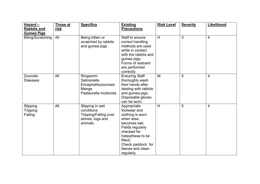| Hazard-<br><b>Rabbits and</b><br><b>Guinea Pigs</b> | <b>Those at</b><br><u>risk</u> | <b>Specifics</b>                                                                       | <b>Existing</b><br><b>Precautions</b>                                                                                                                                                                  | <b>Risk Level</b> | <b>Severity</b> | Likelihood     |
|-----------------------------------------------------|--------------------------------|----------------------------------------------------------------------------------------|--------------------------------------------------------------------------------------------------------------------------------------------------------------------------------------------------------|-------------------|-----------------|----------------|
| Biting/Scratching                                   | All                            | Being bitten or<br>scratched by rabbits<br>and guinea pigs                             | Staff to ensure<br>correct handling<br>methods are used<br>while in contact<br>with the rabbits and<br>guinea pigs.<br>Forms of restraint<br>are performed<br>correctly.                               | H                 | 3               | $\overline{4}$ |
| Zoonotic<br><b>Diseases</b>                         | All                            | Ringworm<br>Salmonella<br>Encephalitozoonosis<br>Mange<br>Pasteurella multocida        | <b>Ensuring Staff</b><br>thoroughly wash<br>their hands after<br>dealing with rabbits<br>and guinea pigs,<br>Disposable gloves<br>can be worn.                                                         | M                 | 5               | 4              |
| Slipping<br><b>Tripping</b><br>Falling              | All                            | Slipping in wet<br>conditions<br>Tripping/Falling over<br>stones, logs and<br>animals. | Appropriate<br>footwear and<br>clothing is worn<br>when area<br>becomes wet.<br>Fields regularly<br>checked for<br>holes(these to be<br>filled)<br>Check paddock for<br>faeces and clean<br>regularly. | H                 | 5               | 4              |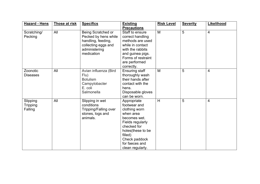| <b>Hazard - Hens</b>            | Those at risk | <b>Specifics</b>                                                                                                       | <b>Existing</b><br><b>Precautions</b>                                                                                                                                                               | <b>Risk Level</b> | <b>Severity</b> | Likelihood     |
|---------------------------------|---------------|------------------------------------------------------------------------------------------------------------------------|-----------------------------------------------------------------------------------------------------------------------------------------------------------------------------------------------------|-------------------|-----------------|----------------|
| Scratching/<br>Pecking          | All           | Being Scratched or<br>Pecked by hens while<br>handling, feeding,<br>collecting eggs and<br>administering<br>medication | Staff to ensure<br>correct handling<br>methods are used<br>while in contact<br>with the rabbits<br>and guinea pigs.<br>Forms of restraint<br>are performed<br>correctly.                            | M                 | 5               | $\overline{4}$ |
| Zoonotic<br><b>Diseases</b>     | All           | Avian influenza (Bird<br>Flu)<br><b>Botulism</b><br>Campylobacter<br>E. coli<br>Salmonella                             | <b>Ensuring staff</b><br>thoroughly wash<br>their hands after<br>contact with the<br>hens.<br>Disposable gloves<br>can be worn.                                                                     | M                 | 5               | $\overline{4}$ |
| Slipping<br>Tripping<br>Falling | All           | Slipping in wet<br>conditions<br>Tripping/Falling over<br>stones, logs and<br>animals.                                 | Appropriate<br>footwear and<br>clothing worn<br>when area<br>becomes wet.<br>Fields regularly<br>checked for<br>holes(these to be<br>filled)<br>Check paddock<br>for faeces and<br>clean regularly. | H                 | 5               | 4              |